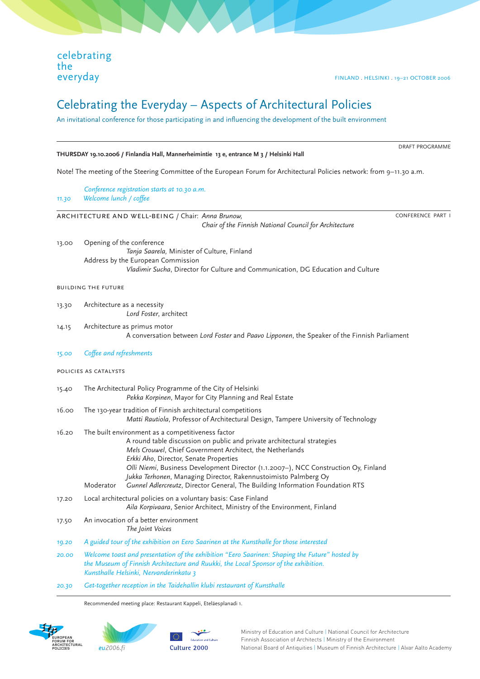celebrating the everyday

 $\overline{a}$ 

FINLAND . HELSINKI . 19–21 OCTOBER 2006

# Celebrating the Everyday – Aspects of Architectural Policies

An invitational conference for those participating in and influencing the development of the built environment

#### **THURSDAY 19.10.2006 / Finlandia Hall, Mannerheimintie 13 e, entrance M 3 / Helsinki Hall**

Note! The meeting of the Steering Committee of the European Forum for Architectural Policies network: from 9–11.30 a.m.

 *Conference registration starts at 10.30 a.m. 11.30 Welcome lunch / coffee*

architecture and well-being / Chair: *Anna Brunow,* 

 *Chair of the Finnish National Council for Architecture*

CONFERENCE PART I

DRAFT PROGRAMME

13.00 Opening of the conference *Tanja Saarela,* Minister of Culture, Finland Address by the European Commission *Vladimir Sucha*, Director for Culture and Communication, DG Education and Culture

# building the future

- 13.30 Architecture as a necessity *Lord Foster*, architect
- 14.15 Architecture as primus motor A conversation between *Lord Foster* and *Paavo Lipponen*, the Speaker of the Finnish Parliament
- *15.00 Coffee and refreshments*

# policies as catalysts

- 15.40 The Architectural Policy Programme of the City of Helsinki *Pekka Korpinen*, Mayor for City Planning and Real Estate
- 16.00 The 130-year tradition of Finnish architectural competitions *Matti Rautiola*, Professor of Architectural Design, Tampere University of Technology
- 16.20 The built environment as a competitiveness factor A round table discussion on public and private architectural strategies *Mels Crouwel*, Chief Government Architect, the Netherlands *Erkki Aho*, Director, Senate Properties *Olli Niemi*, Business Development Director (1.1.2007–), NCC Construction Oy, Finland *Jukka Terhonen*, Managing Director, Rakennustoimisto Palmberg Oy Moderator *Gunnel Adlercreutz*, Director General, The Building Information Foundation RTS
- 17.20 Local architectural policies on a voluntary basis: Case Finland *Aila Korpivaara*, Senior Architect, Ministry of the Environment, Finland
- 17.50 An invocation of a better environment *The Joint Voices*
- *19.20 A guided tour of the exhibition on Eero Saarinen at the Kunsthalle for those interested*
- *20.00 Welcome toast and presentation of the exhibition "Eero Saarinen: Shaping the Future" hosted by the Museum of Finnish Architecture and Ruukki, the Local Sponsor of the exhibition. Kunsthalle Helsinki, Nervanderinkatu 3*
- *20.30 Get-together reception in the Taidehallin klubi restaurant of Kunsthalle*

Recommended meeting place: Restaurant Kappeli, Eteläesplanadi 1.





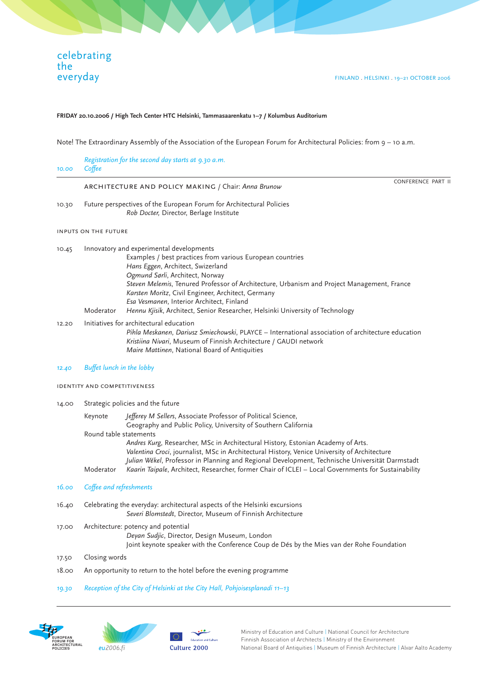## **FRIDAY 20.10.2006 / High Tech Center HTC Helsinki, Tammasaarenkatu 1–7 / Kolumbus Auditorium**

Note! The Extraordinary Assembly of the Association of the European Forum for Architectural Policies: from 9 – 10 a.m.

| 10.00 | Coffee                                                                                                                                                                                                                                                            | Registration for the second day starts at 9.30 a.m.                                                                                                                                                                                                                                                                                                                                                                                                             |  |
|-------|-------------------------------------------------------------------------------------------------------------------------------------------------------------------------------------------------------------------------------------------------------------------|-----------------------------------------------------------------------------------------------------------------------------------------------------------------------------------------------------------------------------------------------------------------------------------------------------------------------------------------------------------------------------------------------------------------------------------------------------------------|--|
|       | <b>CONFERENCE PART II</b><br>ARCHITECTURE AND POLICY MAKING / Chair: Anna Brunow                                                                                                                                                                                  |                                                                                                                                                                                                                                                                                                                                                                                                                                                                 |  |
| 10.30 | Future perspectives of the European Forum for Architectural Policies<br>Rob Docter, Director, Berlage Institute                                                                                                                                                   |                                                                                                                                                                                                                                                                                                                                                                                                                                                                 |  |
|       | INPUTS ON THE FUTURE                                                                                                                                                                                                                                              |                                                                                                                                                                                                                                                                                                                                                                                                                                                                 |  |
| 10.45 | Moderator                                                                                                                                                                                                                                                         | Innovatory and experimental developments<br>Examples / best practices from various European countries<br>Hans Eggen, Architect, Swizerland<br>Ogmund Sørli, Architect, Norway<br>Steven Melemis, Tenured Professor of Architecture, Urbanism and Project Management, France<br>Karsten Moritz, Civil Engineer, Architect, Germany<br>Esa Vesmanen, Interior Architect, Finland<br>Hennu Kjisik, Architect, Senior Researcher, Helsinki University of Technology |  |
| 12.20 | Initiatives for architectural education<br>Pihla Meskanen, Dariusz Smiechowski, PLAYCE – International association of architecture education<br>Kristiina Nivari, Museum of Finnish Architecture / GAUDI network<br>Maire Mattinen, National Board of Antiquities |                                                                                                                                                                                                                                                                                                                                                                                                                                                                 |  |

*12.40 Buffet lunch in the lobby* 

identity and competitiveness

| 14.00 | Strategic policies and the future |                                                                                                     |  |  |
|-------|-----------------------------------|-----------------------------------------------------------------------------------------------------|--|--|
|       | Keynote                           | Jefferey M Sellers, Associate Professor of Political Science,                                       |  |  |
|       |                                   | Geography and Public Policy, University of Southern California                                      |  |  |
|       | Round table statements            |                                                                                                     |  |  |
|       |                                   | Andres Kurg, Researcher, MSc in Architectural History, Estonian Academy of Arts.                    |  |  |
|       |                                   | Valentina Croci, journalist, MSc in Architectural History, Venice University of Architecture        |  |  |
|       |                                   | Julian Wékel, Professor in Planning and Regional Development, Technische Universität Darmstadt      |  |  |
|       | Moderator                         | Kaarin Taipale, Architect, Researcher, former Chair of ICLEI - Local Governments for Sustainability |  |  |
|       |                                   |                                                                                                     |  |  |

# *16.00 Coffee and refreshments*

- 16.40 Celebrating the everyday: architectural aspects of the Helsinki excursions *Severi Blomstedt*, Director, Museum of Finnish Architecture
- 17.00 Architecture: potency and potential *Deyan Sudjic*, Director, Design Museum, London Joint keynote speaker with the Conference Coup de Dés by the Mies van der Rohe Foundation
- Closing words 17.50
- 18.00 An opportunity to return to the hotel before the evening programme
- *19.30 Reception of the City of Helsinki at the City Hall, Pohjoisesplanadi 11–13*



 $\overline{a}$